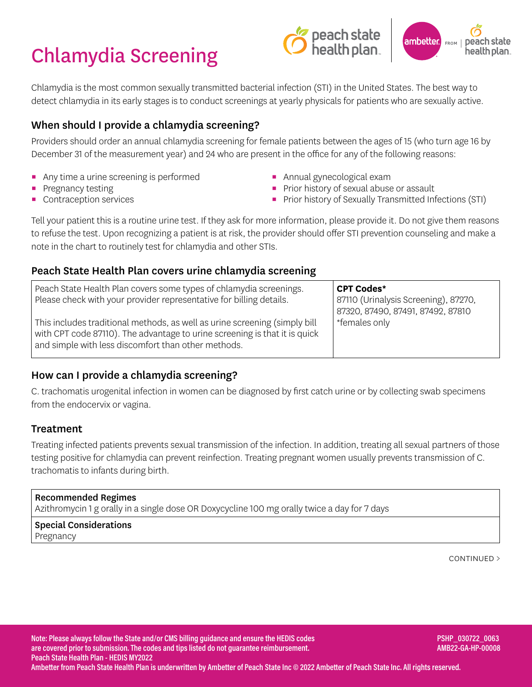# Chlamydia Screening





Chlamydia is the most common sexually transmitted bacterial infection (STI) in the United States. The best way to detect chlamydia in its early stages is to conduct screenings at yearly physicals for patients who are sexually active.

# When should I provide a chlamydia screening?

Providers should order an annual chlamydia screening for female patients between the ages of 15 (who turn age 16 by December 31 of the measurement year) and 24 who are present in the office for any of the following reasons:

- Any time a urine screening is performed
- **•** Pregnancy testing
- Contraception services
- **E** Annual gynecological exam
- **Prior history of sexual abuse or assault**
- **•** Prior history of Sexually Transmitted Infections (STI)

Tell your patient this is a routine urine test. If they ask for more information, please provide it. Do not give them reasons to refuse the test. Upon recognizing a patient is at risk, the provider should offer STI prevention counseling and make a note in the chart to routinely test for chlamydia and other STIs.

## Peach State Health Plan covers urine chlamydia screening

| Peach State Health Plan covers some types of chlamydia screenings.<br>Please check with your provider representative for billing details.<br>This includes traditional methods, as well as urine screening (simply bill<br>with CPT code 87110). The advantage to urine screening is that it is quick<br>and simple with less discomfort than other methods. | <b>CPT Codes*</b><br>87110 (Urinalysis Screening), 87270,<br>87320, 87490, 87491, 87492, 87810<br>*females only |
|--------------------------------------------------------------------------------------------------------------------------------------------------------------------------------------------------------------------------------------------------------------------------------------------------------------------------------------------------------------|-----------------------------------------------------------------------------------------------------------------|
|--------------------------------------------------------------------------------------------------------------------------------------------------------------------------------------------------------------------------------------------------------------------------------------------------------------------------------------------------------------|-----------------------------------------------------------------------------------------------------------------|

# How can I provide a chlamydia screening?

C. trachomatis urogenital infection in women can be diagnosed by first catch urine or by collecting swab specimens from the endocervix or vagina.

# **Treatment**

Treating infected patients prevents sexual transmission of the infection. In addition, treating all sexual partners of those testing positive for chlamydia can prevent reinfection. Treating pregnant women usually prevents transmission of C. trachomatis to infants during birth.

#### Recommended Regimes

Azithromycin 1 g orally in a single dose OR Doxycycline 100 mg orally twice a day for 7 days

#### Special Considerations Pregnancy

CONTINUED >